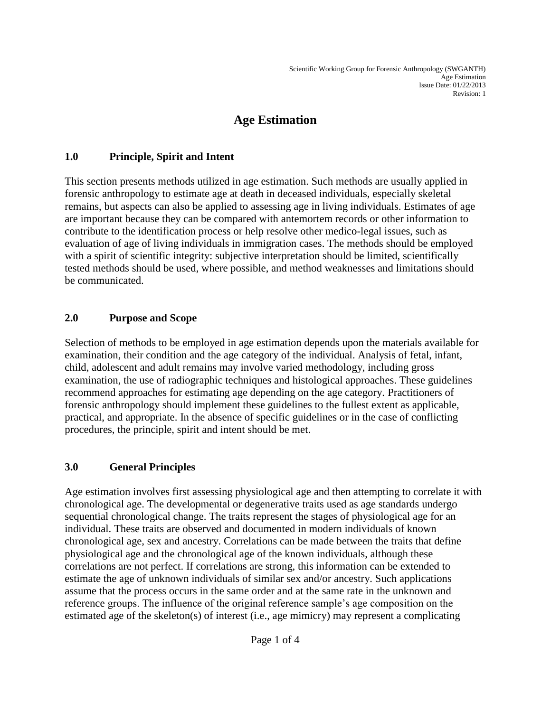# **Age Estimation**

#### **1.0 Principle, Spirit and Intent**

This section presents methods utilized in age estimation. Such methods are usually applied in forensic anthropology to estimate age at death in deceased individuals, especially skeletal remains, but aspects can also be applied to assessing age in living individuals. Estimates of age are important because they can be compared with antemortem records or other information to contribute to the identification process or help resolve other medico-legal issues, such as evaluation of age of living individuals in immigration cases. The methods should be employed with a spirit of scientific integrity: subjective interpretation should be limited, scientifically tested methods should be used, where possible, and method weaknesses and limitations should be communicated.

#### **2.0 Purpose and Scope**

Selection of methods to be employed in age estimation depends upon the materials available for examination, their condition and the age category of the individual. Analysis of fetal, infant, child, adolescent and adult remains may involve varied methodology, including gross examination, the use of radiographic techniques and histological approaches. These guidelines recommend approaches for estimating age depending on the age category. Practitioners of forensic anthropology should implement these guidelines to the fullest extent as applicable, practical, and appropriate. In the absence of specific guidelines or in the case of conflicting procedures, the principle, spirit and intent should be met.

#### **3.0 General Principles**

Age estimation involves first assessing physiological age and then attempting to correlate it with chronological age. The developmental or degenerative traits used as age standards undergo sequential chronological change. The traits represent the stages of physiological age for an individual. These traits are observed and documented in modern individuals of known chronological age, sex and ancestry. Correlations can be made between the traits that define physiological age and the chronological age of the known individuals, although these correlations are not perfect. If correlations are strong, this information can be extended to estimate the age of unknown individuals of similar sex and/or ancestry. Such applications assume that the process occurs in the same order and at the same rate in the unknown and reference groups. The influence of the original reference sample's age composition on the estimated age of the skeleton(s) of interest (i.e., age mimicry) may represent a complicating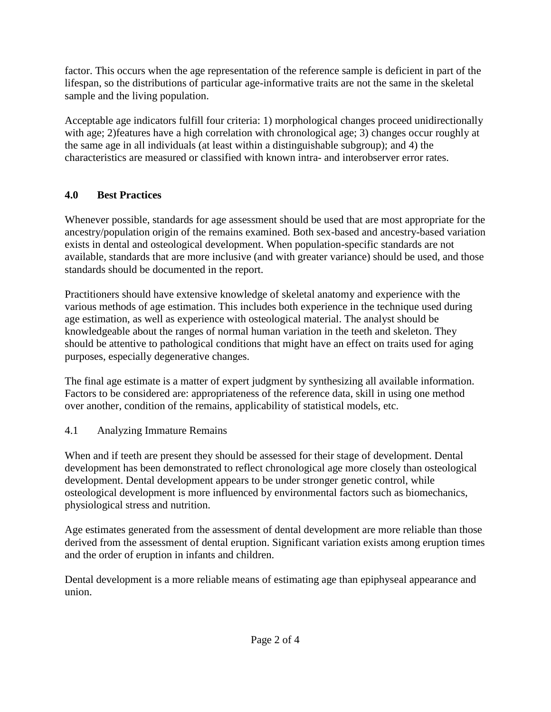factor. This occurs when the age representation of the reference sample is deficient in part of the lifespan, so the distributions of particular age-informative traits are not the same in the skeletal sample and the living population.

Acceptable age indicators fulfill four criteria: 1) morphological changes proceed unidirectionally with age; 2)features have a high correlation with chronological age; 3) changes occur roughly at the same age in all individuals (at least within a distinguishable subgroup); and 4) the characteristics are measured or classified with known intra- and interobserver error rates.

### **4.0 Best Practices**

Whenever possible, standards for age assessment should be used that are most appropriate for the ancestry/population origin of the remains examined. Both sex-based and ancestry-based variation exists in dental and osteological development. When population-specific standards are not available, standards that are more inclusive (and with greater variance) should be used, and those standards should be documented in the report.

Practitioners should have extensive knowledge of skeletal anatomy and experience with the various methods of age estimation. This includes both experience in the technique used during age estimation, as well as experience with osteological material. The analyst should be knowledgeable about the ranges of normal human variation in the teeth and skeleton. They should be attentive to pathological conditions that might have an effect on traits used for aging purposes, especially degenerative changes.

The final age estimate is a matter of expert judgment by synthesizing all available information. Factors to be considered are: appropriateness of the reference data, skill in using one method over another, condition of the remains, applicability of statistical models, etc.

4.1 Analyzing Immature Remains

When and if teeth are present they should be assessed for their stage of development. Dental development has been demonstrated to reflect chronological age more closely than osteological development. Dental development appears to be under stronger genetic control, while osteological development is more influenced by environmental factors such as biomechanics, physiological stress and nutrition.

Age estimates generated from the assessment of dental development are more reliable than those derived from the assessment of dental eruption. Significant variation exists among eruption times and the order of eruption in infants and children.

Dental development is a more reliable means of estimating age than epiphyseal appearance and union.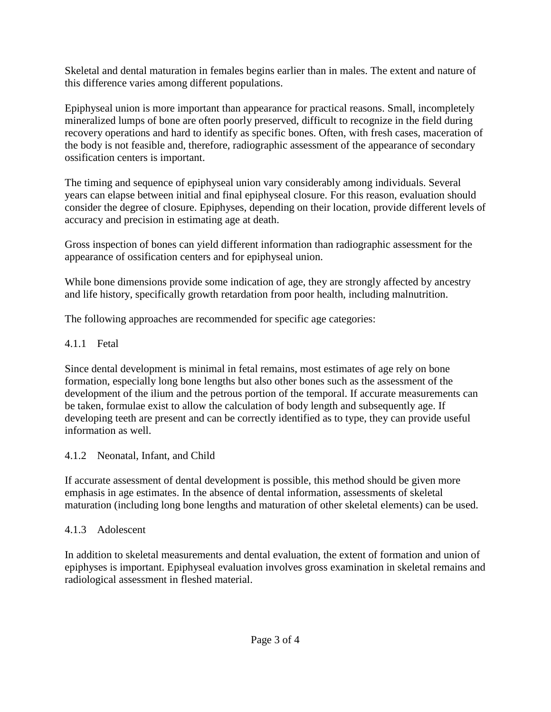Skeletal and dental maturation in females begins earlier than in males. The extent and nature of this difference varies among different populations.

Epiphyseal union is more important than appearance for practical reasons. Small, incompletely mineralized lumps of bone are often poorly preserved, difficult to recognize in the field during recovery operations and hard to identify as specific bones. Often, with fresh cases, maceration of the body is not feasible and, therefore, radiographic assessment of the appearance of secondary ossification centers is important.

The timing and sequence of epiphyseal union vary considerably among individuals. Several years can elapse between initial and final epiphyseal closure. For this reason, evaluation should consider the degree of closure. Epiphyses, depending on their location, provide different levels of accuracy and precision in estimating age at death.

Gross inspection of bones can yield different information than radiographic assessment for the appearance of ossification centers and for epiphyseal union.

While bone dimensions provide some indication of age, they are strongly affected by ancestry and life history, specifically growth retardation from poor health, including malnutrition.

The following approaches are recommended for specific age categories:

### 4.1.1 Fetal

Since dental development is minimal in fetal remains, most estimates of age rely on bone formation, especially long bone lengths but also other bones such as the assessment of the development of the ilium and the petrous portion of the temporal. If accurate measurements can be taken, formulae exist to allow the calculation of body length and subsequently age. If developing teeth are present and can be correctly identified as to type, they can provide useful information as well.

### 4.1.2 Neonatal, Infant, and Child

If accurate assessment of dental development is possible, this method should be given more emphasis in age estimates. In the absence of dental information, assessments of skeletal maturation (including long bone lengths and maturation of other skeletal elements) can be used.

## 4.1.3 Adolescent

In addition to skeletal measurements and dental evaluation, the extent of formation and union of epiphyses is important. Epiphyseal evaluation involves gross examination in skeletal remains and radiological assessment in fleshed material.